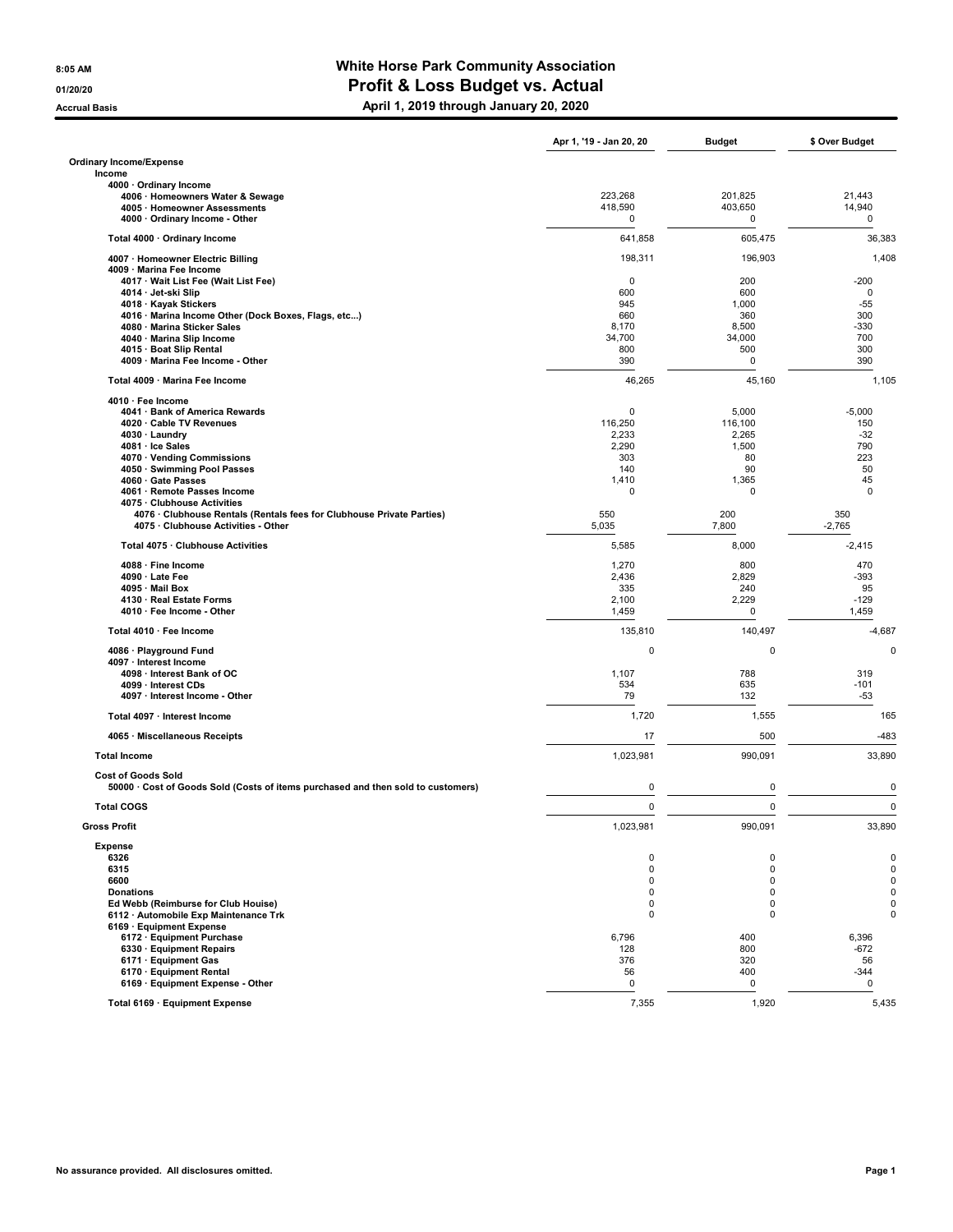## 8:05 AM BELLET AND THE MUST COMMUNITY Association 01/20/20 01/20/20 **Profit & Loss Budget vs. Actual**

Accrual Basis **April 1, 2019 through January 20, 2020** 

|                                                                                                              | Apr 1, '19 - Jan 20, 20 | Budget       | \$ Over Budget  |
|--------------------------------------------------------------------------------------------------------------|-------------------------|--------------|-----------------|
| Ordinary Income/Expense<br>Income                                                                            |                         |              |                 |
| 4000 · Ordinary Income                                                                                       |                         |              |                 |
| 4006 · Homeowners Water & Sewage                                                                             | 223,268                 | 201,825      | 21,443          |
| 4005 · Homeowner Assessments<br>4000 · Ordinary Income - Other                                               | 418,590<br>0            | 403,650<br>0 | 14,940<br>0     |
| Total 4000 · Ordinary Income                                                                                 | 641,858                 | 605,475      | 36,383          |
| 4007 · Homeowner Electric Billing                                                                            | 198,311                 | 196,903      | 1,408           |
| 4009 · Marina Fee Income                                                                                     |                         |              |                 |
| 4017 · Wait List Fee (Wait List Fee)                                                                         | 0                       | 200          | $-200$          |
| 4014 · Jet-ski Slip                                                                                          | 600                     | 600          | 0<br>$-55$      |
| 4018 · Kayak Stickers<br>4016 · Marina Income Other (Dock Boxes, Flags, etc)                                 | 945<br>660              | 1,000<br>360 | 300             |
| 4080 · Marina Sticker Sales                                                                                  | 8,170                   | 8,500        | $-330$          |
| 4040 · Marina Slip Income                                                                                    | 34,700                  | 34,000       | 700             |
| 4015 · Boat Slip Rental                                                                                      | 800                     | 500          | 300             |
| 4009 · Marina Fee Income - Other                                                                             | 390                     | 0            | 390             |
| Total 4009 · Marina Fee Income<br>4010 · Fee Income                                                          | 46,265                  | 45,160       | 1,105           |
| 4041 · Bank of America Rewards                                                                               | $\mathbf 0$             | 5,000        | $-5,000$        |
| 4020 · Cable TV Revenues                                                                                     | 116,250                 | 116,100      | 150             |
| 4030 · Laundry                                                                                               | 2,233                   | 2,265        | $-32$           |
| 4081 · Ice Sales                                                                                             | 2,290                   | 1,500        | 790             |
| 4070 · Vending Commissions                                                                                   | 303                     | 80           | 223             |
| 4050 · Swimming Pool Passes<br>4060 · Gate Passes                                                            | 140<br>1,410            | 90<br>1,365  | 50<br>45        |
| 4061 · Remote Passes Income                                                                                  | 0                       | 0            | 0               |
| 4075 · Clubhouse Activities                                                                                  |                         |              |                 |
| 4076 · Clubhouse Rentals (Rentals fees for Clubhouse Private Parties)<br>4075 · Clubhouse Activities - Other | 550<br>5,035            | 200<br>7,800 | 350<br>$-2,765$ |
| Total 4075 · Clubhouse Activities                                                                            | 5,585                   | 8,000        | $-2,415$        |
| 4088 · Fine Income                                                                                           | 1,270                   | 800          | 470             |
| 4090 · Late Fee                                                                                              | 2,436                   | 2,829        | $-393$          |
| 4095 · Mail Box                                                                                              | 335                     | 240          | 95              |
| 4130 · Real Estate Forms<br>4010 · Fee Income - Other                                                        | 2,100<br>1,459          | 2,229<br>0   | $-129$<br>1,459 |
| Total 4010 · Fee Income                                                                                      | 135,810                 | 140,497      | $-4,687$        |
| 4086 · Playground Fund                                                                                       | $\mathbf 0$             | 0            | 0               |
| 4097 · Interest Income                                                                                       |                         |              |                 |
| 4098 · Interest Bank of OC                                                                                   | 1,107                   | 788          | 319             |
| 4099 · Interest CDs<br>4097 · Interest Income - Other                                                        | 534<br>79               | 635<br>132   | $-101$<br>$-53$ |
| Total 4097 · Interest Income                                                                                 | 1,720                   | 1,555        | 165             |
| 4065 · Miscellaneous Receipts                                                                                | 17                      | 500          | $-483$          |
| <b>Total Income</b>                                                                                          | 1,023,981               | 990,091      | 33,890          |
| <b>Cost of Goods Sold</b>                                                                                    |                         |              |                 |
| 50000 · Cost of Goods Sold (Costs of items purchased and then sold to customers)                             | $\mathbf 0$             | 0            | $\mathbf 0$     |
| <b>Total COGS</b>                                                                                            | 0                       | 0            | $\mathbf 0$     |
| <b>Gross Profit</b>                                                                                          | 1,023,981               | 990,091      | 33,890          |
| <b>Expense</b><br>6326                                                                                       | 0                       | 0            | $\mathbf 0$     |
| 6315                                                                                                         | $\mathbf 0$             | 0            | $\overline{0}$  |
| 6600                                                                                                         | $\mathbf 0$             | 0            | $\mathbf 0$     |
| <b>Donations</b>                                                                                             | $\mathbf 0$             | 0            | $\pmb{0}$       |
| Ed Webb (Reimburse for Club Houise)                                                                          | 0                       | 0            | $\pmb{0}$       |
| 6112 · Automobile Exp Maintenance Trk<br>6169 · Equipment Expense                                            | 0                       | 0            | $\mathbf 0$     |
| 6172 · Equipment Purchase                                                                                    | 6,796                   | 400          | 6,396           |
| 6330 · Equipment Repairs                                                                                     | 128                     | 800          | $-672$          |
| 6171 · Equipment Gas                                                                                         | 376                     | 320          | 56              |
| 6170 · Equipment Rental                                                                                      | 56                      | 400          | $-344$          |
| 6169 · Equipment Expense - Other                                                                             | 0                       | 0            | 0               |
| Total 6169 · Equipment Expense                                                                               | 7,355                   | 1,920        | 5,435           |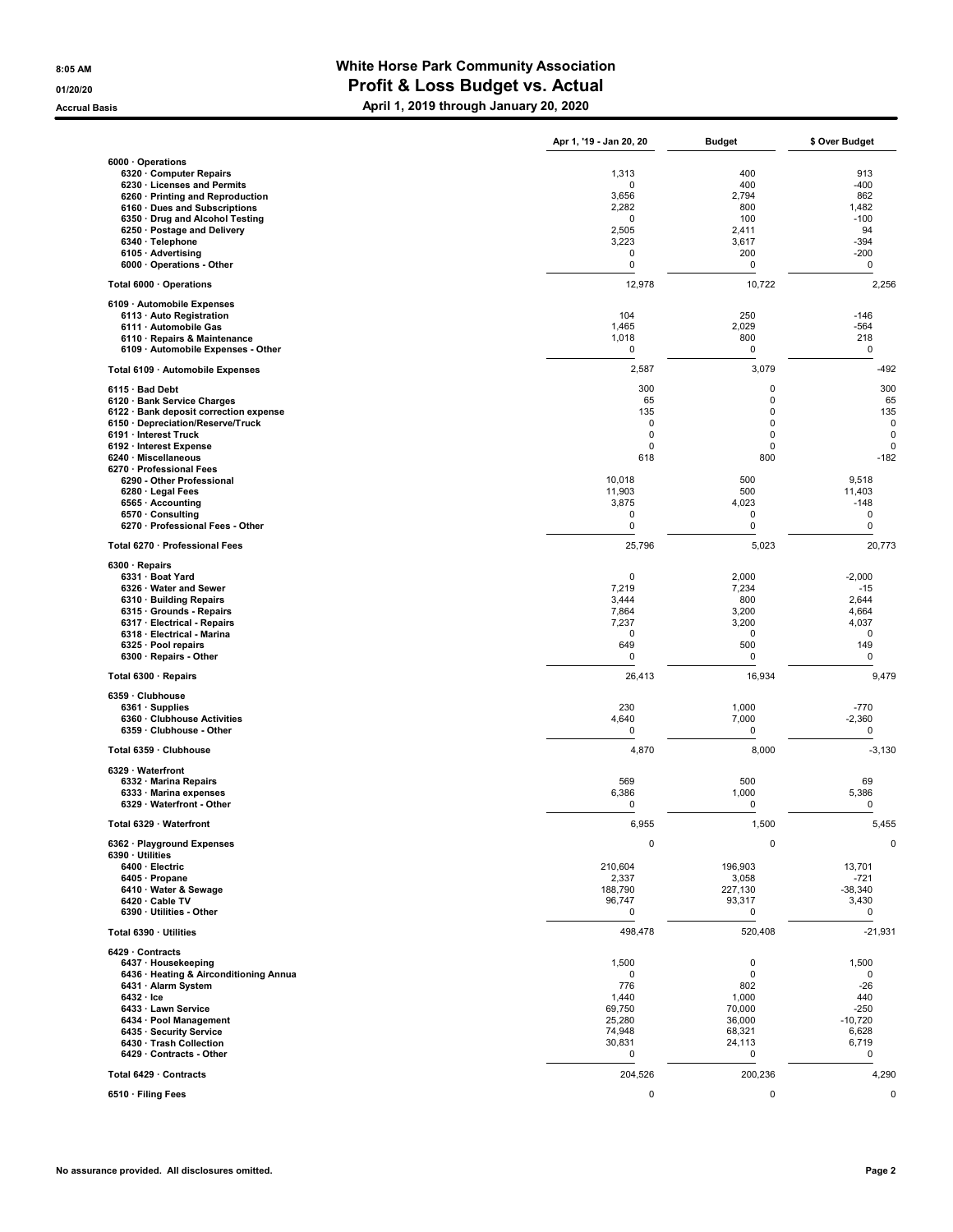## 8:05 AM BELLET AND THE MUST COMMUNITY Association 01/20/20 01/20/20 **Profit & Loss Budget vs. Actual**

Accrual Basis **April 1, 2019 through January 20, 2020** 

|                                                                 | Apr 1, '19 - Jan 20, 20 | <b>Budget</b>    | \$ Over Budget   |
|-----------------------------------------------------------------|-------------------------|------------------|------------------|
| 6000 · Operations                                               |                         |                  |                  |
| 6320 Computer Repairs                                           | 1,313                   | 400              | 913              |
| 6230 · Licenses and Permits<br>6260 · Printing and Reproduction | 0<br>3,656              | 400<br>2,794     | $-400$<br>862    |
| 6160 · Dues and Subscriptions                                   | 2,282                   | 800              | 1,482            |
| 6350 · Drug and Alcohol Testing                                 | 0                       | 100              | $-100$           |
| 6250 · Postage and Delivery                                     | 2,505                   | 2,411            | 94               |
| 6340 · Telephone                                                | 3,223                   | 3,617            | $-394$           |
| 6105 · Advertising                                              | 0                       | 200              | $-200$           |
| 6000 Operations - Other                                         | 0                       | 0                | 0                |
| Total 6000 · Operations                                         | 12,978                  | 10,722           | 2,256            |
| 6109 · Automobile Expenses<br>6113 · Auto Registration          | 104                     | 250              | $-146$           |
| 6111 · Automobile Gas                                           | 1,465                   | 2,029            | $-564$           |
| 6110 · Repairs & Maintenance                                    | 1,018                   | 800              | 218              |
| 6109 · Automobile Expenses - Other                              | 0                       | 0                | 0                |
| Total 6109 · Automobile Expenses                                | 2,587                   | 3,079            | $-492$           |
| 6115 · Bad Debt<br>6120 · Bank Service Charges                  | 300<br>65               | 0<br>0           | 300<br>65        |
| 6122 · Bank deposit correction expense                          | 135                     | $\mathbf 0$      | 135              |
| 6150 · Depreciation/Reserve/Truck                               | $\mathbf 0$             | $\mathbf 0$      | 0                |
| 6191 · Interest Truck                                           | $\mathbf 0$             | 0                | $\mathbf 0$      |
| 6192 · Interest Expense                                         | $\mathbf 0$             | 0                | $\mathbf 0$      |
| 6240 · Miscellaneous                                            | 618                     | 800              | $-182$           |
| 6270 · Professional Fees                                        |                         |                  |                  |
| 6290 - Other Professional                                       | 10,018                  | 500              | 9,518            |
| 6280 · Legal Fees<br>6565 · Accounting                          | 11,903<br>3,875         | 500<br>4,023     | 11,403<br>$-148$ |
| 6570 · Consulting                                               | 0                       | $\pmb{0}$        | $\mathbf 0$      |
| 6270 · Professional Fees - Other                                | 0                       | 0                | 0                |
| Total 6270 · Professional Fees                                  | 25,796                  | 5,023            | 20,773           |
| $6300 \cdot$ Repairs<br>6331 · Boat Yard                        | 0                       | 2,000            | $-2,000$         |
| 6326 · Water and Sewer                                          | 7,219                   | 7,234            | $-15$            |
| 6310 · Building Repairs                                         | 3,444                   | 800              | 2,644            |
| 6315 · Grounds - Repairs                                        | 7,864                   | 3,200            | 4,664            |
| 6317 · Electrical - Repairs                                     | 7,237                   | 3,200            | 4,037            |
| 6318 · Electrical - Marina                                      | 0                       | $\mathbf 0$      | 0                |
| 6325 · Pool repairs<br>6300 · Repairs - Other                   | 649<br>0                | 500<br>0         | 149<br>0         |
| Total 6300 · Repairs                                            | 26,413                  | 16,934           | 9,479            |
| 6359 · Clubhouse                                                |                         |                  |                  |
| 6361 · Supplies                                                 | 230                     | 1,000            | $-770$           |
| 6360 · Clubhouse Activities<br>6359 Clubhouse - Other           | 4,640<br>0              | 7,000<br>0       | $-2,360$<br>0    |
| Total 6359 · Clubhouse                                          | 4,870                   | 8,000            | $-3,130$         |
| 6329 · Waterfront                                               |                         |                  |                  |
| 6332 · Marina Repairs                                           | 569                     | 500              | 69               |
| 6333 · Marina expenses                                          | 6,386                   | 1,000            | 5,386            |
| 6329 · Waterfront - Other                                       | 0                       | $\mathbf 0$      | 0                |
| Total 6329 · Waterfront                                         | 6,955                   | 1,500            | 5,455            |
| 6362 · Playground Expenses<br>6390 · Utilities                  | $\mathbf 0$             | 0                | 0                |
| 6400 · Electric                                                 | 210,604                 | 196,903          | 13,701           |
| 6405 · Propane                                                  | 2,337                   | 3,058            | $-721$           |
| 6410 · Water & Sewage                                           | 188,790                 | 227,130          | $-38,340$        |
| 6420 · Cable TV                                                 | 96,747                  | 93,317           | 3,430            |
| 6390 · Utilities - Other                                        | $\pmb{0}$               | 0                | $\pmb{0}$        |
| Total 6390 · Utilities                                          | 498,478                 | 520,408          | $-21,931$        |
| 6429 · Contracts<br>6437 · Housekeeping                         | 1,500                   | $\mathbf 0$      | 1,500            |
| 6436 · Heating & Airconditioning Annua                          | 0                       | $\pmb{0}$        | 0                |
| 6431 · Alarm System                                             | 776                     | 802              | $-26$            |
| $6432 \cdot$ Ice                                                | 1,440                   | 1,000            | 440              |
| 6433 · Lawn Service                                             | 69,750                  | 70,000           | $-250$           |
| 6434 · Pool Management<br>6435 · Security Service               | 25,280                  | 36,000           | $-10,720$        |
| 6430 · Trash Collection                                         | 74,948<br>30,831        | 68,321<br>24,113 | 6,628<br>6,719   |
| 6429 Contracts - Other                                          | 0                       | 0                | $\pmb{0}$        |
| Total 6429 · Contracts                                          | 204,526                 | 200,236          | 4,290            |
| 6510 · Filing Fees                                              | 0                       | $\pmb{0}$        | $\pmb{0}$        |